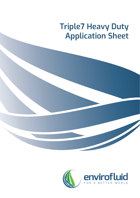## **Triple7 Heavy Duty Application Sheet**



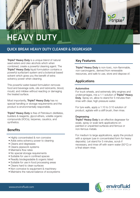# **HEAVY DUTY**

## **QUICK BREAK HEAVY DUTY CLEANER & DEGREASER**

**Triple7 Heavy Duty** is a unique blend of natural seed esters and oleo alcohols which when combined, create a powerful cleaning agent. The **Triple7 Heavy Duty liquid formulation contains a** powerful surfactant system and a botanical based solvent which gives you the benefit of extra solvency power when cleaning.

Most importantly, Triple7 Heavy Duty has no special handling or storage requirements and the product is environmentally responsible.

**Triple7 Heavy Duty** is free of Petroleum distillates, builders & reagents, glycol ethers, volatile organic compounds (VOCs), terpenes, caustics, and synthetics.

This powerful water-based formulation removes food and beverage soils, oils and lubricants, blood, mould, and mildew without reacting or damaging the treated surface.

- Highly concentrated & non corrosive
- Adds extra solvency power to cleaning
- Cleans and degreases
- Cleans pipework systems
- Maintains flow rates
- No special storage requirements
- Suitable for use in confined spaces
- Readily biodegradable & organic listed
- Suitable for use in food processing areas
- Cleans hard to clean surfaces
- Non-corrosive to equipment & machinery
- Maintains the natural balance of ecosystems

Triple7 Heavy Duty is non-toxic, non-flammable, non-carcinogenic, derived from renewable resources, and safe to use, store and dispose of.

*Striple* 

## **Benefits**

Triple7 Heavy Duty is an effective degreaser for swab, spray or soak tank applications on painted or unpainted surfaces and ferrous or non-ferrous metals.

### **Key Features**

## **Applications**

#### Automotive

For truck wheels, and extremely dirty engines and undercarriages, mix a 1:1 solution of Triple7 Heavy **Duty.** Spray on, allow to stand for 5 minutes then rinse with clear, high pressure water.

For tyre walls, apply a 1:10 to 3:10 solution of product, agitate with a stiff brush, then rinse.

#### **Degreasing**

For medium to large applications, apply the product with a sprayer (use in concentrated form for heavy deposits). Let stand for 5 minutes, scrub if necessary, and rinse off with warm water (50°C) or a final steam rinse.

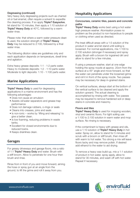#### Degreasing (continued)

Very heavy duty degreasing projects such as charred oil or fuel enamel, often require a solvent to expedite the cleaning process. If so apply Triple7 Easysolve, let stand for 10 minutes, then apply a 1:10 solution of Triple7 Heavy Duty at 40°C, followed by a warm water rinse.

Please note: that where a warm water pressure clean is used, the solution strength of Triple7 Heavy Duty may be reduced to 2:100, followed by a final water rinse.

**Triple7 Heavy Duty** works best using a hot water high pressure washer. Atomisation poses no problem as the product is non-hazardous to people or clothing when used as directed.

The following dilution rates are guidelines only and each application depends on temperature, dwell time and agitation.

Extra heavy grease deposits: 1:1 - 1:2 parts water. Heavy to moderate deposits: 1:2 - 1:10 parts water. Moderate to light deposits: 1:10 - 1:100 parts water.

## **Hospitality Applications**

Concourses, ceramic tiles, pavers and concrete paths

**Triple7 Heavy Duty** is used for mopping wooden, vinyl and ceramic floors. For light soiling use a 1:100 to 2:100 solution in warm water and mop surface. No rinsing is necessary.

Pre-treat difficult areas with a 1:5 solution of the product in water and let stand until soiling is loosened. For normal applications, mix 1:100 to 2:100 solution (stronger if necessary) and spray apply. Brush with a broom for ingrained dirt and allow to stand for a few minutes.

**Triple7 Heavy Duty** is used for degreasing applications in a marine environment and has the following advantages:

If using a pressure washer, start at one edge holding the spray nozzle at approx. 20cm from the surface at a 45° angle and move forward, so that the water can penetrate under the loosened grime and roll it in front of the spray nozzle. Two passes may be necessary for deep in-grained stains.

On vertical surfaces, always start at the bottom of the vertical surface to be cleaned and apply the solution upward. The actual cleaning is accomplished by rinsing with water. Two passes may be required to remove hardened soil or deep stains in concrete and masonry.

#### Floors and tiles

If the contaminant is heavy with grease and oils, use a 1:10 solution of Triple7 Heavy Duty in hot water. Spray on, allow to stand for 5 minutes and scrub with a broom or stiff brush, then rinse off with warm to hot water. Too strong a mix will leave floors tacky and may remove polish. If desired add ethanol to the water to aid drying.

To remove a heavy wax build-up, mix a 1:1 solution of product in hot water, spray apply, allow to stand for 30 minutes, and wash off with hot water. Repeat if necessary.



## **Marine Applications**

- Does not cause an emulsion
- Assists oil/water separators and grease trap performance

- Does not damage rubbers, o-rings or seals
- Cleans into creases, joins and seals
- Is non-ionic works by 'lifting and releasing' to give a better clean.
- Is low foaming, reducing problems in waste tanks.
- Excellent for closed environments due to reduced toxins.
- Keeps drainlines clean.

## **Garages**

For greasy driveways and garage floors, mix a ratio of 1:1 Triple7 Heavy Duty and water. Brush with a stiff broom. Allow to penetrate for one hour then brush and rinse.

Rinse from in front of you and move forward, aiming the hose or spray gun at an angle from the ground, to lift the grime and roll it away from you.